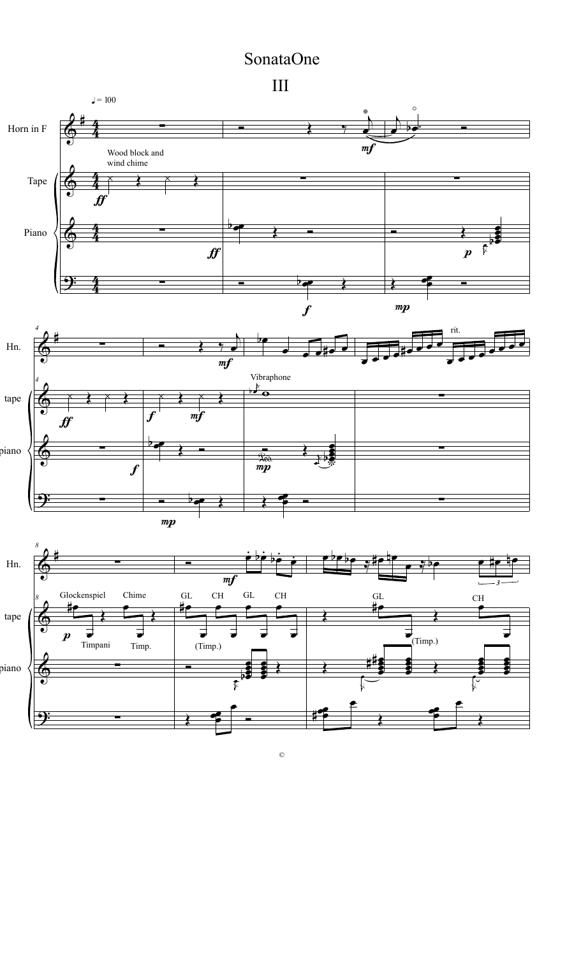

**.** 

<u>g:</u>

©

P  $\overline{\phantom{a}}$ 

 $\overline{\boldsymbol{\mathfrak{F}}}$ 

 $\bullet$ 

 $\frac{1}{2}$  $\mathbf{r}$  ř  $\overline{\phantom{a}}$ 

 $\overline{\mathbf{t}}$ 

 $\bullet$ 

 $\frac{1}{2}$  $\bullet$ 

r  $\overline{\bullet}$ 

 $\bullet$ 

 $\overline{\phantom{a}}$ 

 $\frac{1}{2}$  $\bullet$ 

 $\overline{\boldsymbol{\mathfrak{F}}}$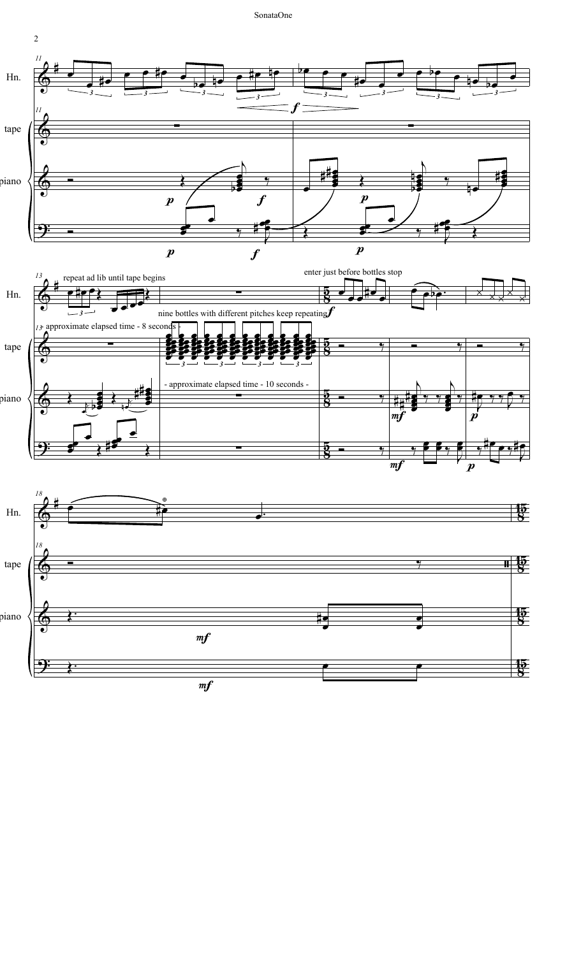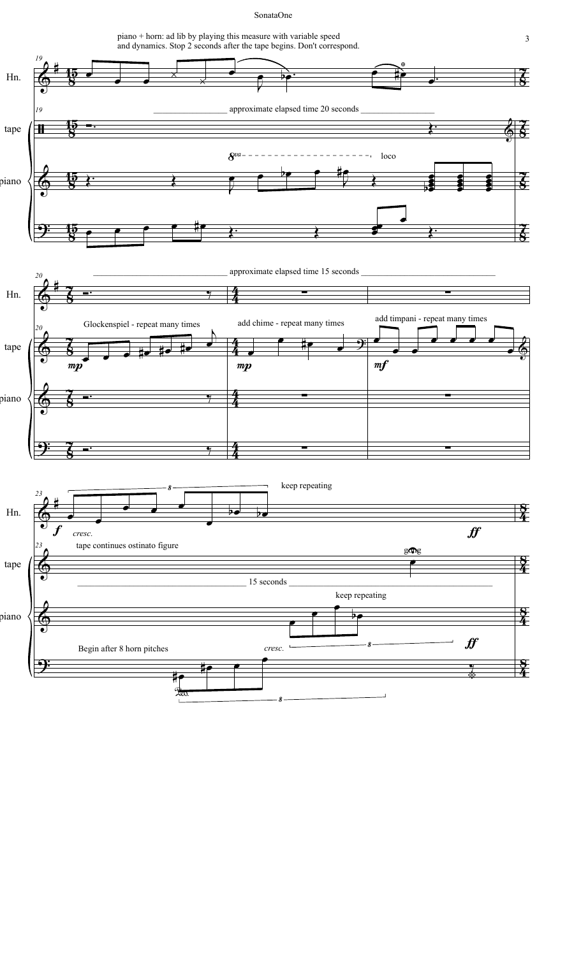piano + horn: ad lib by playing this measure with variable speed



3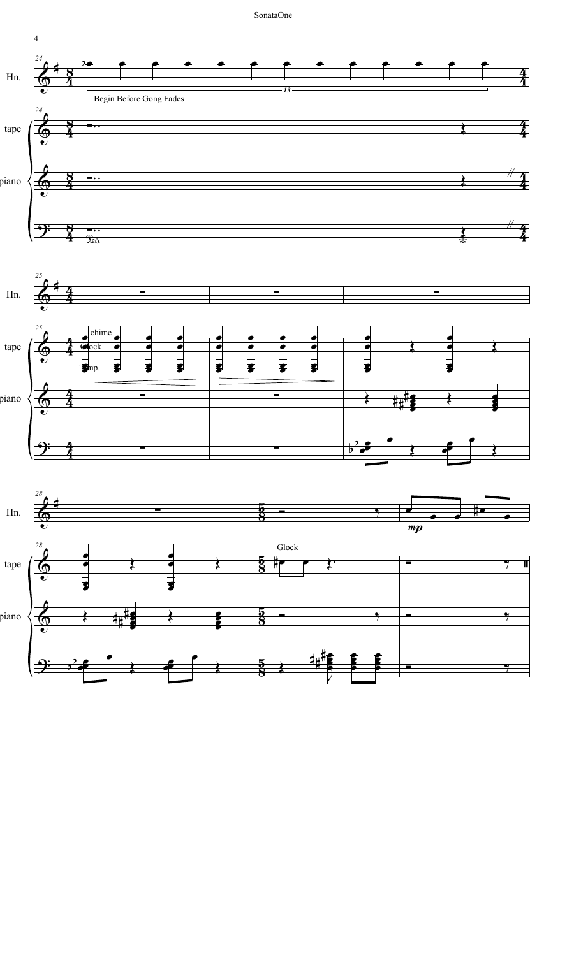